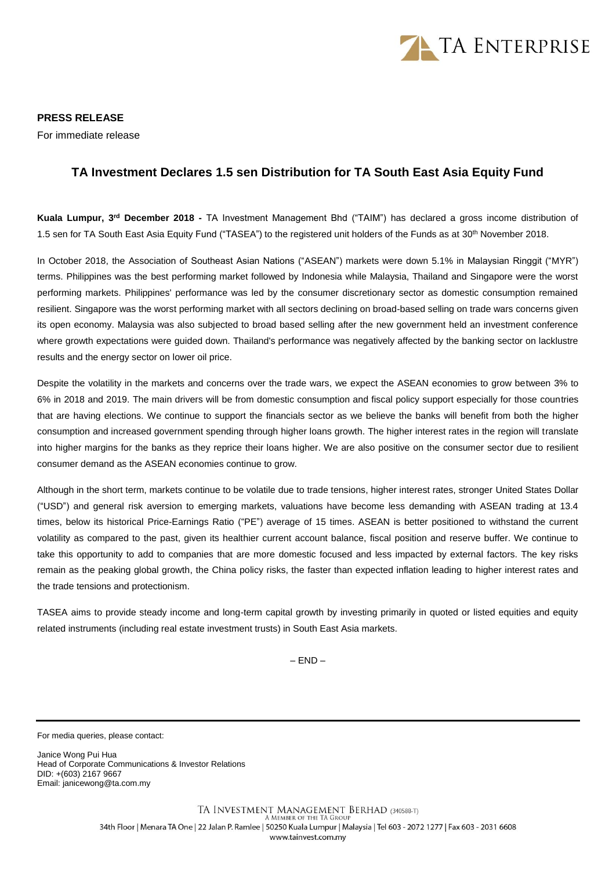

**PRESS RELEASE** For immediate release

## **TA Investment Declares 1.5 sen Distribution for TA South East Asia Equity Fund**

**Kuala Lumpur, 3<sup>rd</sup> December 2018 - TA Investment Management Bhd ("TAIM") has declared a gross income distribution of** 1.5 sen for TA South East Asia Equity Fund ("TASEA") to the registered unit holders of the Funds as at 30<sup>th</sup> November 2018.

In October 2018, the Association of Southeast Asian Nations ("ASEAN") markets were down 5.1% in Malaysian Ringgit ("MYR") terms. Philippines was the best performing market followed by Indonesia while Malaysia, Thailand and Singapore were the worst performing markets. Philippines' performance was led by the consumer discretionary sector as domestic consumption remained resilient. Singapore was the worst performing market with all sectors declining on broad-based selling on trade wars concerns given its open economy. Malaysia was also subjected to broad based selling after the new government held an investment conference where growth expectations were guided down. Thailand's performance was negatively affected by the banking sector on lacklustre results and the energy sector on lower oil price.

Despite the volatility in the markets and concerns over the trade wars, we expect the ASEAN economies to grow between 3% to 6% in 2018 and 2019. The main drivers will be from domestic consumption and fiscal policy support especially for those countries that are having elections. We continue to support the financials sector as we believe the banks will benefit from both the higher consumption and increased government spending through higher loans growth. The higher interest rates in the region will translate into higher margins for the banks as they reprice their loans higher. We are also positive on the consumer sector due to resilient consumer demand as the ASEAN economies continue to grow.

Although in the short term, markets continue to be volatile due to trade tensions, higher interest rates, stronger United States Dollar ("USD") and general risk aversion to emerging markets, valuations have become less demanding with ASEAN trading at 13.4 times, below its historical Price-Earnings Ratio ("PE") average of 15 times. ASEAN is better positioned to withstand the current volatility as compared to the past, given its healthier current account balance, fiscal position and reserve buffer. We continue to take this opportunity to add to companies that are more domestic focused and less impacted by external factors. The key risks remain as the peaking global growth, the China policy risks, the faster than expected inflation leading to higher interest rates and the trade tensions and protectionism.

TASEA aims to provide steady income and long-term capital growth by investing primarily in quoted or listed equities and equity related instruments (including real estate investment trusts) in South East Asia markets.

 $-$  END  $-$ 

For media queries, please contact:

Janice Wong Pui Hua Head of Corporate Communications & Investor Relations DID: +(603) 2167 9667 Email: janicewong@ta.com.my